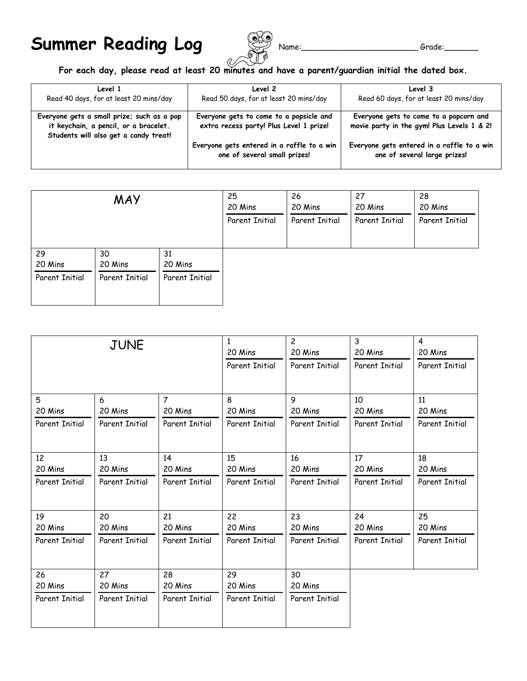## **Summer Reading Log**  $\bigotimes_{\text{name}}^{\text{new}}$  Name: \_\_\_\_\_\_\_\_\_\_\_\_\_\_\_\_\_\_\_\_\_\_\_Grade:



## **For each day, please read at least 20 minutes and have a parent/guardian initial the dated box.**

| Level 1<br>Read 40 days, for at least 20 mins/day                                                                            | Level 2<br>Read 50 days, for at least 20 mins/day                                  | Level 3<br>Read 60 days, for at least 20 mins/day                                    |
|------------------------------------------------------------------------------------------------------------------------------|------------------------------------------------------------------------------------|--------------------------------------------------------------------------------------|
| Everyone gets a small prize; such as a pop<br>it keychain, a pencil, or a bracelet.<br>Students will also get a candy treat! | Everyone gets to come to a popsicle and<br>extra recess party! Plus Level 1 prize! | Everyone gets to come to a popcorn and<br>movie party in the gym! Plus Levels 1 & 2! |
|                                                                                                                              | Everyone gets entered in a raffle to a win<br>one of several small prizes!         | Everyone gets entered in a raffle to a win<br>one of several large prizes!           |

| <b>MAY</b>     |                       | 25<br>20 Mins<br>Parent Initial | 26<br>20 Mins<br>Parent Initial | 27<br>20 Mins<br>Parent Initial | 28<br>20 Mins<br>Parent Initial |  |
|----------------|-----------------------|---------------------------------|---------------------------------|---------------------------------|---------------------------------|--|
| 29<br>20 Mins  | 30<br>20 Mins         | 31<br>20 Mins                   |                                 |                                 |                                 |  |
| Parent Initial | <b>Parent Initial</b> | Parent Initial                  |                                 |                                 |                                 |  |

| <b>JUNE</b>           |                       | 1<br>20 Mins<br><b>Parent Initial</b> | $\overline{c}$<br>20 Mins<br><b>Parent Initial</b> | 3<br>20 Mins<br><b>Parent Initial</b> | 4<br>20 Mins<br><b>Parent Initial</b> |                       |
|-----------------------|-----------------------|---------------------------------------|----------------------------------------------------|---------------------------------------|---------------------------------------|-----------------------|
|                       |                       |                                       |                                                    |                                       |                                       |                       |
| 5                     | 6                     | $\overline{7}$                        | 8                                                  | 9                                     | 10                                    | 11                    |
| 20 Mins               | 20 Mins               | 20 Mins                               | 20 Mins                                            | 20 Mins                               | 20 Mins                               | 20 Mins               |
| <b>Parent Initial</b> | <b>Parent Initial</b> | <b>Parent Initial</b>                 | <b>Parent Initial</b>                              | <b>Parent Initial</b>                 | <b>Parent Initial</b>                 | <b>Parent Initial</b> |
| 12                    |                       |                                       | 15                                                 |                                       | 17                                    |                       |
| 20 Mins               | 13<br>20 Mins         | 14<br>20 Mins                         | 20 Mins                                            | 16<br>20 Mins                         | 20 Mins                               | 18<br>20 Mins         |
|                       |                       |                                       |                                                    |                                       |                                       |                       |
| <b>Parent Initial</b> | Parent Initial        | <b>Parent Initial</b>                 | <b>Parent Initial</b>                              | <b>Parent Initial</b>                 | Parent Initial                        | <b>Parent Initial</b> |
| 19                    | 20                    | 21                                    | 22                                                 | 23                                    | 24                                    | 25                    |
| 20 Mins               | 20 Mins               | 20 Mins                               | 20 Mins                                            | 20 Mins                               | 20 Mins                               | 20 Mins               |
| <b>Parent Initial</b> | Parent Initial        | <b>Parent Initial</b>                 | Parent Initial                                     | <b>Parent Initial</b>                 | <b>Parent Initial</b>                 | <b>Parent Initial</b> |
| 26                    | 27                    | 28                                    | 29                                                 | 30                                    |                                       |                       |
| 20 Mins               | 20 Mins               | 20 Mins                               | 20 Mins                                            | 20 Mins                               |                                       |                       |
|                       |                       |                                       |                                                    |                                       |                                       |                       |
| <b>Parent Initial</b> | <b>Parent Initial</b> | Parent Initial                        | Parent Initial                                     | <b>Parent Initial</b>                 |                                       |                       |
|                       |                       |                                       |                                                    |                                       |                                       |                       |